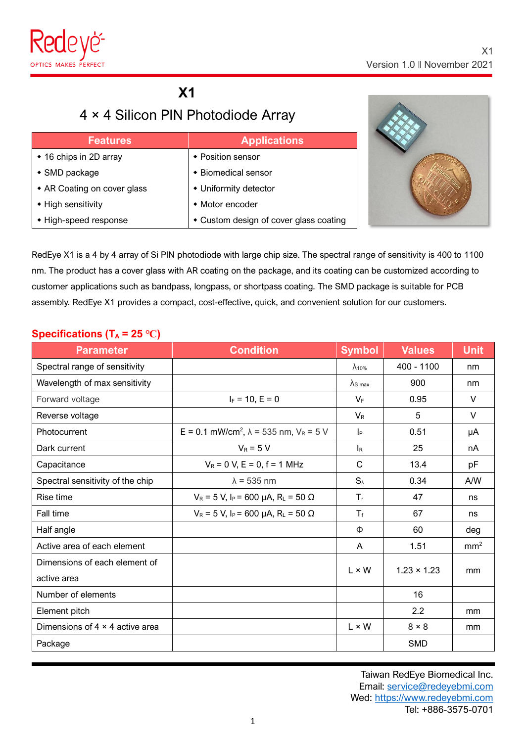

## **X1**

# 4 × 4 Silicon PIN Photodiode Array

| <b>Features</b>             | <b>Applications</b>                    |
|-----------------------------|----------------------------------------|
| ◆ 16 chips in 2D array      | ◆ Position sensor                      |
| $\bullet$ SMD package       | ◆ Biomedical sensor                    |
| • AR Coating on cover glass | • Uniformity detector                  |
| • High sensitivity          | • Motor encoder                        |
| • High-speed response       | • Custom design of cover glass coating |



RedEye X1 is a 4 by 4 array of Si PIN photodiode with large chip size. The spectral range of sensitivity is 400 to 1100 nm. The product has a cover glass with AR coating on the package, and its coating can be customized according to customer applications such as bandpass, longpass, or shortpass coating. The SMD package is suitable for PCB assembly. RedEye X1 provides a compact, cost-effective, quick, and convenient solution for our customers.

#### **Specifications** ( $T_A$  = 25 °C)

| <b>Parameter</b>                       | <b>Condition</b>                                             | <b>Symbol</b>             | <b>Values</b>      | <b>Unit</b>     |
|----------------------------------------|--------------------------------------------------------------|---------------------------|--------------------|-----------------|
| Spectral range of sensitivity          |                                                              | $\lambda$ <sub>10%</sub>  | 400 - 1100         | nm              |
| Wavelength of max sensitivity          |                                                              | $\lambda$ s max           | 900                | nm              |
| Forward voltage                        | $I_F = 10, E = 0$                                            | $V_F$                     | 0.95               | V               |
| Reverse voltage                        |                                                              | $V_{R}$                   | 5                  | $\vee$          |
| Photocurrent                           | E = 0.1 mW/cm <sup>2</sup> , $\lambda$ = 535 nm, $V_R$ = 5 V | $ _{\mathsf{P}}$          | 0.51               | μA              |
| Dark current                           | $V_R = 5 V$                                                  | $\mathsf{I}_{\mathsf{R}}$ | 25                 | nA              |
| Capacitance                            | $V_R = 0$ V, E = 0, f = 1 MHz                                | C                         | 13.4               | pF              |
| Spectral sensitivity of the chip       | $\lambda$ = 535 nm                                           | $S_{\lambda}$             | 0.34               | A/W             |
| Rise time                              | $V_R = 5 V$ , $I_P = 600 \mu A$ , $R_L = 50 \Omega$          | $T_{\rm r}$               | 47                 | ns              |
| Fall time                              | $V_R = 5 V$ , $I_P = 600 \mu A$ , $R_L = 50 \Omega$          | $T_{f}$                   | 67                 | ns              |
| Half angle                             |                                                              | Ф                         | 60                 | deg             |
| Active area of each element            |                                                              | A                         | 1.51               | mm <sup>2</sup> |
| Dimensions of each element of          |                                                              | $L \times W$              | $1.23 \times 1.23$ |                 |
| active area                            |                                                              |                           |                    | mm              |
| Number of elements                     |                                                              |                           | 16                 |                 |
| Element pitch                          |                                                              |                           | 2.2                | mm              |
| Dimensions of $4 \times 4$ active area |                                                              | $L \times W$              | $8 \times 8$       | mm              |
| Package                                |                                                              |                           | <b>SMD</b>         |                 |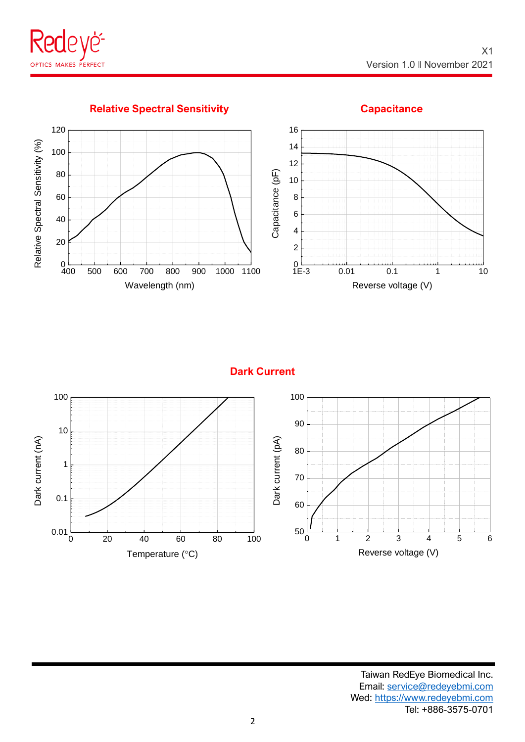

#### **Relative Spectral Sensitivity <b>Capacitance Capacitance**



**Dark Current**